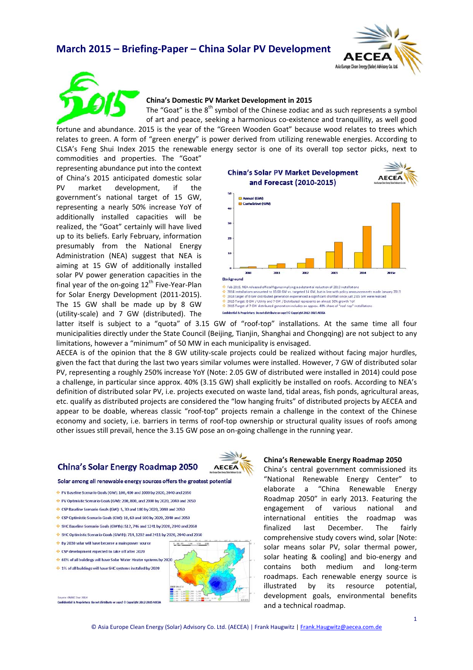# **March 2015 – Briefing‐Paper – China Solar PV Development**





## **China's Domestic PV Market Development in 2015**

The "Goat" is the  $8<sup>th</sup>$  symbol of the Chinese zodiac and as such represents a symbol of art and peace, seeking a harmonious co-existence and tranquillity, as well good

fortune and abundance. 2015 is the year of the "Green Wooden Goat" because wood relates to trees which relates to green. A form of "green energy" is power derived from utilizing renewable energies. According to CLSA's Feng Shui Index 2015 the renewable energy sector is one of its overall top sector picks, next to

commodities and properties. The "Goat" representing abundance put into the context of China's 2015 anticipated domestic solar PV market development, if the government's national target of 15 GW, representing a nearly 50% increase YoY of additionally installed capacities will be realized, the "Goat" certainly will have lived up to its beliefs. Early February, information presumably from the National Energy Administration (NEA) suggest that NEA is aiming at 15 GW of additionally installed solar PV power generation capacities in the final year of the on-going  $12<sup>th</sup>$  Five-Year-Plan for Solar Energy Development (2011‐2015). The 15 GW shall be made up by 8 GW (utility‐scale) and 7 GW (distributed). The





latter itself is subject to a "guota" of 3.15 GW of "roof-top" installations. At the same time all four municipalities directly under the State Council (Beijing, Tianjin, Shanghai and Chongqing) are not subject to any limitations, however a "minimum" of 50 MW in each municipality is envisaged.

AECEA is of the opinion that the 8 GW utility-scale projects could be realized without facing major hurdles, given the fact that during the last two years similar volumes were installed. However, 7 GW of distributed solar PV, representing a roughly 250% increase YoY (Note: 2.05 GW of distributed were installed in 2014) could pose a challenge, in particular since approx. 40% (3.15 GW) shall explicitly be installed on roofs. According to NEA's definition of distributed solar PV, i.e. projects executed on waste land, tidal areas, fish ponds, agricultural areas, etc. qualify as distributed projects are considered the "low hanging fruits" of distributed projects by AECEA and appear to be doable, whereas classic "roof-top" projects remain a challenge in the context of the Chinese economy and society, i.e. barriers in terms of roof-top ownership or structural quality issues of roofs among other issues still prevail, hence the 3.15 GW pose an on‐going challenge in the running year.

## **China's Solar Energy Roadmap 2050**



#### Solar among all renewable energy sources offers the greatest potential

- PV Baseline Scenario Goals (GW): 100, 400 and 1000 by 2020, 2040 and 2050
- PV Optimistic Scenario Goals (GW): 200, 800, and 2000 by 2020, 2040 and 2050
- CSP Baseline Scenario Goals (GW): 5, 30 and 180 by 2020, 2040 and 2050
- CSP Optimistic Scenario Goals (GW): 10, 60 and 500 by 2020, 2040 and 2050
- SHC Baseline Scenario Goals (GWth): 512, 746 and 1241 by 2020, 2040 and 2050
- SHC Optimistic Scenario Goals (GWth): 714, 1202 and 2411 by 2020, 2040 and 2050
- ♦ By 2030 solar will have become a main power source
- CSP development expected to take off after 2020
- 60% of all buildings will have Solar Water Heater systems by 2020
- ↔ 1% of all buildings will have SHC systems installed by 2020
	-

CNREC Dec 2014 Confidential & Proprietary: Do not distribute or copy! © Copyright 2012-2015 ACCCA

### **China's Renewable Energy Roadmap 2050**

China's central government commissioned its "National Renewable Energy Center" to elaborate a "China Renewable Energy Roadmap 2050" in early 2013. Featuring the engagement of various national and international entities the roadmap was finalized last December. The fairly comprehensive study covers wind, solar [Note: solar means solar PV, solar thermal power, solar heating & cooling] and bio-energy and contains both medium and long‐term roadmaps. Each renewable energy source is illustrated by its resource potential, development goals, environmental benefits and a technical roadmap.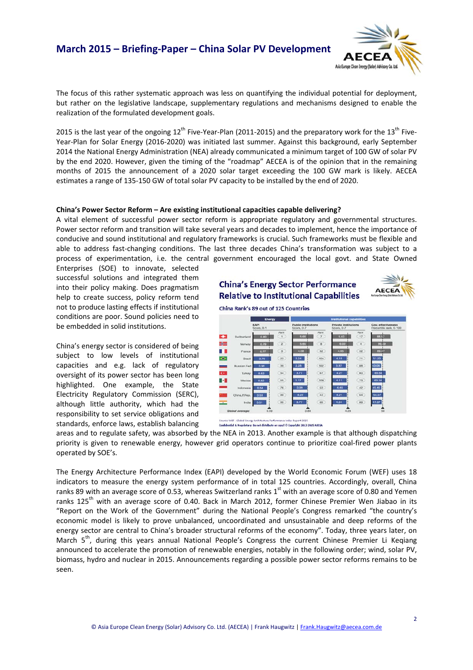Asia Europe Clean Energy (Solar) Adviso

The focus of this rather systematic approach was less on quantifying the individual potential for deployment, but rather on the legislative landscape, supplementary regulations and mechanisms designed to enable the realization of the formulated development goals.

2015 is the last year of the ongoing  $12<sup>th</sup>$  Five-Year-Plan (2011-2015) and the preparatory work for the 13<sup>th</sup> Five-Year‐Plan for Solar Energy (2016‐2020) was initiated last summer. Against this background, early September 2014 the National Energy Administration (NEA) already communicated a minimum target of 100 GW of solar PV by the end 2020. However, given the timing of the "roadmap" AECEA is of the opinion that in the remaining months of 2015 the announcement of a 2020 solar target exceeding the 100 GW mark is likely. AECEA estimates a range of 135‐150 GW of total solar PV capacity to be installed by the end of 2020.

## **China's Power Sector Reform – Are existing institutional capacities capable delivering?**

A vital element of successful power sector reform is appropriate regulatory and governmental structures. Power sector reform and transition will take several years and decades to implement, hence the importance of conducive and sound institutional and regulatory frameworks is crucial. Such frameworks must be flexible and able to address fast‐changing conditions. The last three decades China's transformation was subject to a process of experimentation, i.e. the central government encouraged the local govt. and State Owned

Enterprises (SOE) to innovate, selected successful solutions and integrated them into their policy making. Does pragmatism help to create success, policy reform tend not to produce lasting effects if institutional conditions are poor. Sound policies need to be embedded in solid institutions.

China's energy sector is considered of being subject to low levels of institutional capacities and e.g. lack of regulatory oversight of its power sector has been long highlighted. One example, the State Electricity Regulatory Commission (SERC), although little authority, which had the responsibility to set service obligations and standards, enforce laws, establish balancing





China Rank's 89 out of 125 Countries



etary: Do not distribute or copy | © Copyright 2012-2015 ACCD

areas and to regulate safety, was absorbed by the NEA in 2013. Another example is that although dispatching priority is given to renewable energy, however grid operators continue to prioritize coal‐fired power plants operated by SOE's.

The Energy Architecture Performance Index (EAPI) developed by the World Economic Forum (WEF) uses 18 indicators to measure the energy system performance of in total 125 countries. Accordingly, overall, China ranks 89 with an average score of 0.53, whereas Switzerland ranks  $1<sup>st</sup>$  with an average score of 0.80 and Yemen ranks 125<sup>th</sup> with an average score of 0.40. Back in March 2012, former Chinese Premier Wen Jiabao in its "Report on the Work of the Government" during the National People's Congress remarked "the country's economic model is likely to prove unbalanced, uncoordinated and unsustainable and deep reforms of the energy sector are central to China's broader structural reforms of the economy". Today, three years later, on March  $5<sup>th</sup>$ , during this years annual National People's Congress the current Chinese Premier Li Keqiang announced to accelerate the promotion of renewable energies, notably in the following order; wind, solar PV, biomass, hydro and nuclear in 2015. Announcements regarding a possible power sector reforms remains to be seen.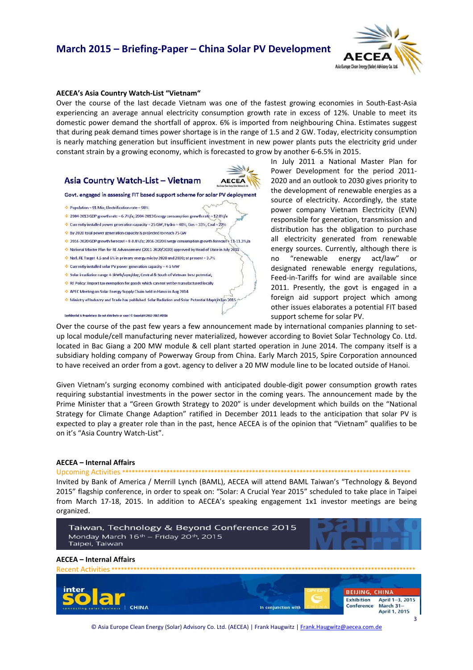# **March 2015 – Briefing‐Paper – China Solar PV Development**



### **AECEA's Asia Country Watch‐List "Vietnam"**

Over the course of the last decade Vietnam was one of the fastest growing economies in South‐East‐Asia experiencing an average annual electricity consumption growth rate in excess of 12%. Unable to meet its domestic power demand the shortfall of approx. 6% is imported from neighbouring China. Estimates suggest that during peak demand times power shortage is in the range of 1.5 and 2 GW. Today, electricity consumption is nearly matching generation but insufficient investment in new power plants puts the electricity grid under constant strain by a growing economy, which is forecasted to grow by another 6‐6.5% in 2015.

## Asia Country Watch-List - Vietnam



Govt. engaged in assessing FIT based support scheme for solar PV deployment

- $\div$  Population = 91 Mio; Electrification rate = 98%
- $\div$  2004-2013 GDP growth rate = 6.7%/a; 2004-2013 Energy consumption growth rate = 12.8%/a
- Currently installed power generation capacity = 25 GW; Hydro = 40%; Gas = 33%; Coal = 22%
- ↓ By 2020 total power generation capacity is projected to reach 75 GW
- 2016-2020 GDP growth forecast = 8-8.4%/a; 2016-2020 Energy consumption growth forecast + 11-11.3%/a National Master Plan for RE Advancement (2011-2020/2030) approved by Head of State in July 2011
- $\div$  Natl. RE Target 4.5 and 6% in primary energy mix by 2020 and 2030; at present = 3.7%
- $\div$  Currently installed solar PV power generation capacity = 4-5 MW

Confidential & Proprietary: Do not distribute or copy! © Copyright 2012-2015 ACCE

- Solar irradiation range 4-SkWh/sqm/day; Central & South of Vietnam best potential;
- RE Policy: Import tax exemption for goods which can not yet be manufactured locally
- APEC Meeting on Solar Energy Supply Chain held in Hanoi in Aug 2014
- Ministry of Industry and Trade has published Solar Radiation and Solar Potential Maps in Jan 2015
- 

Power Development for the period 2011‐ 2020 and an outlook to 2030 gives priority to the development of renewable energies as a source of electricity. Accordingly, the state power company Vietnam Electricity (EVN) responsible for generation, transmission and distribution has the obligation to purchase all electricity generated from renewable energy sources. Currently, although there is no "renewable energy act/law" or designated renewable energy regulations, Feed-in-Tariffs for wind are available since 2011. Presently, the govt is engaged in a foreign aid support project which among other issues elaborates a potential FIT based support scheme for solar PV.

In July 2011 a National Master Plan for

Over the course of the past few years a few announcement made by international companies planning to setup local module/cell manufacturing never materialized, however according to Boviet Solar Technology Co. Ltd. located in Bac Giang a 200 MW module & cell plant started operation in June 2014. The company itself is a subsidiary holding company of Powerway Group from China. Early March 2015, Spire Corporation announced to have received an order from a govt. agency to deliver a 20 MW module line to be located outside of Hanoi.

Given Vietnam's surging economy combined with anticipated double‐digit power consumption growth rates requiring substantial investments in the power sector in the coming years. The announcement made by the Prime Minister that a "Green Growth Strategy to 2020" is under development which builds on the "National Strategy for Climate Change Adaption" ratified in December 2011 leads to the anticipation that solar PV is expected to play a greater role than in the past, hence AECEA is of the opinion that "Vietnam" qualifies to be on it's "Asia Country Watch‐List".

### **AECEA – Internal Affairs**

## Upcoming Activities **\*\*\*\*\*\*\*\*\*\*\*\*\*\*\*\*\*\*\*\*\*\*\*\*\*\*\*\*\*\*\*\*\*\*\*\*\*\*\*\*\*\*\*\*\*\*\*\*\*\*\*\*\*\*\*\*\*\*\*\*\*\*\*\*\*\*\*\*\*\*\*\*\*\*\*\*\*\*\*\*\*\*\*\*\*\*\*\*\*\*\***

Invited by Bank of America / Merrill Lynch (BAML), AECEA will attend BAML Taiwan's "Technology & Beyond 2015" flagship conference, in order to speak on: "Solar: A Crucial Year 2015" scheduled to take place in Taipei from March 17‐18, 2015. In addition to AECEA's speaking engagement 1x1 investor meetings are being organized.



© Asia Europe Clean Energy (Solar) Advisory Co. Ltd. (AECEA) | Frank Haugwitz | Frank. Haugwitz@aecea.com.de